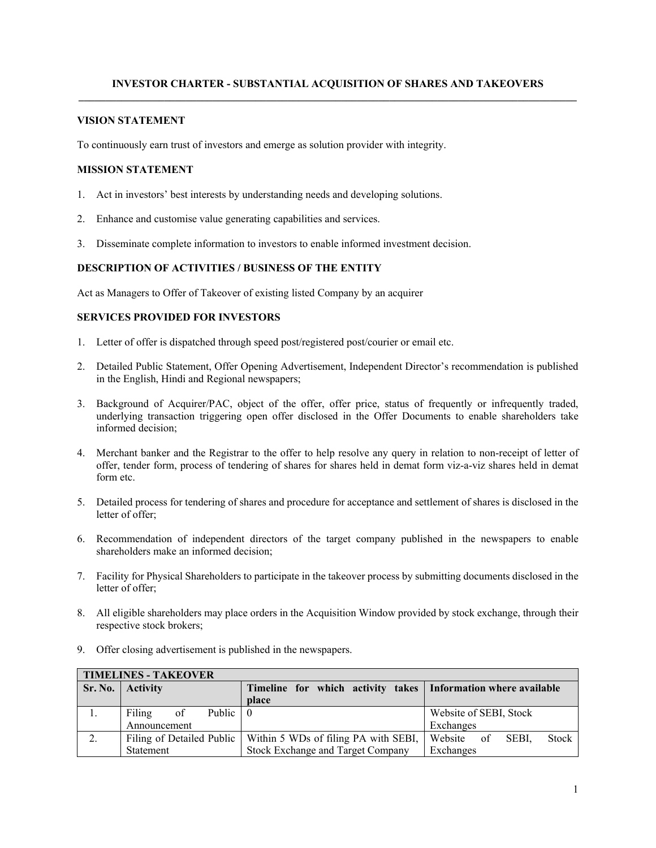## **INVESTOR CHARTER - SUBSTANTIAL ACQUISITION OF SHARES AND TAKEOVERS**

#### **VISION STATEMENT**

To continuously earn trust of investors and emerge as solution provider with integrity.

#### **MISSION STATEMENT**

- 1. Act in investors' best interests by understanding needs and developing solutions.
- 2. Enhance and customise value generating capabilities and services.
- 3. Disseminate complete information to investors to enable informed investment decision.

### **DESCRIPTION OF ACTIVITIES / BUSINESS OF THE ENTITY**

Act as Managers to Offer of Takeover of existing listed Company by an acquirer

## **SERVICES PROVIDED FOR INVESTORS**

- 1. Letter of offer is dispatched through speed post/registered post/courier or email etc.
- 2. Detailed Public Statement, Offer Opening Advertisement, Independent Director's recommendation is published in the English, Hindi and Regional newspapers;
- 3. Background of Acquirer/PAC, object of the offer, offer price, status of frequently or infrequently traded, underlying transaction triggering open offer disclosed in the Offer Documents to enable shareholders take informed decision;
- 4. Merchant banker and the Registrar to the offer to help resolve any query in relation to non-receipt of letter of offer, tender form, process of tendering of shares for shares held in demat form viz-a-viz shares held in demat form etc.
- 5. Detailed process for tendering of shares and procedure for acceptance and settlement of shares is disclosed in the letter of offer;
- 6. Recommendation of independent directors of the target company published in the newspapers to enable shareholders make an informed decision;
- 7. Facility for Physical Shareholders to participate in the takeover process by submitting documents disclosed in the letter of offer;
- 8. All eligible shareholders may place orders in the Acquisition Window provided by stock exchange, through their respective stock brokers;
- 9. Offer closing advertisement is published in the newspapers.

| <b>TIMELINES - TAKEOVER</b> |                          |                                                                  |                                     |  |  |  |  |  |
|-----------------------------|--------------------------|------------------------------------------------------------------|-------------------------------------|--|--|--|--|--|
| Sr. No.                     | <b>Activity</b>          | Timeline for which activity takes   Information where available  |                                     |  |  |  |  |  |
|                             |                          | place                                                            |                                     |  |  |  |  |  |
|                             | Public 0<br>Filing<br>of |                                                                  | Website of SEBI, Stock              |  |  |  |  |  |
|                             | Announcement             |                                                                  | Exchanges                           |  |  |  |  |  |
| 2.                          |                          | Filing of Detailed Public   Within 5 WDs of filing PA with SEBI, | Website of<br><b>Stock</b><br>SEBI. |  |  |  |  |  |
|                             | Statement                | <b>Stock Exchange and Target Company</b>                         | Exchanges                           |  |  |  |  |  |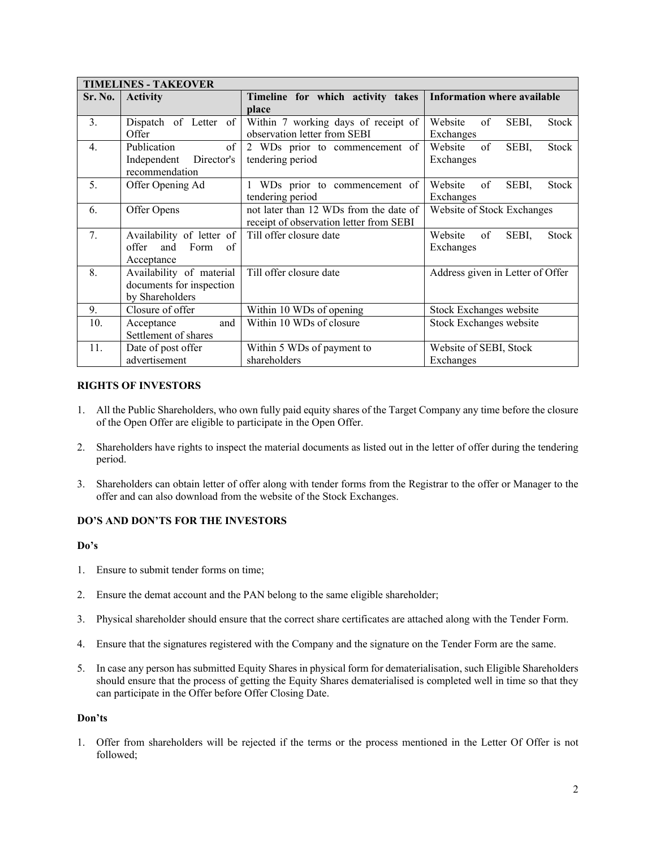| <b>TIMELINES - TAKEOVER</b> |                            |                                         |                                        |  |  |  |  |  |
|-----------------------------|----------------------------|-----------------------------------------|----------------------------------------|--|--|--|--|--|
| Sr. No.                     | <b>Activity</b>            | Timeline for which activity takes       | <b>Information where available</b>     |  |  |  |  |  |
|                             |                            | place                                   |                                        |  |  |  |  |  |
| 3 <sub>1</sub>              | Dispatch of Letter of      | Within 7 working days of receipt of     | Website<br>of<br>SEBI,<br><b>Stock</b> |  |  |  |  |  |
|                             | Offer                      | observation letter from SEBI            | Exchanges                              |  |  |  |  |  |
| $\overline{4}$ .            | Publication<br>of          | 2 WDs prior to commencement of          | Website<br>of<br>SEBI,<br><b>Stock</b> |  |  |  |  |  |
|                             | Director's<br>Independent  | tendering period                        | Exchanges                              |  |  |  |  |  |
|                             | recommendation             |                                         |                                        |  |  |  |  |  |
| 5.                          | Offer Opening Ad           | WDs prior to commencement of            | Website<br>of<br>SEBI,<br><b>Stock</b> |  |  |  |  |  |
|                             |                            | tendering period                        | Exchanges                              |  |  |  |  |  |
| 6.                          | Offer Opens                | not later than 12 WDs from the date of  | Website of Stock Exchanges             |  |  |  |  |  |
|                             |                            | receipt of observation letter from SEBI |                                        |  |  |  |  |  |
| 7.                          | Availability of letter of  | Till offer closure date                 | of<br>SEBI,<br>Website<br><b>Stock</b> |  |  |  |  |  |
|                             | offer<br>and<br>Form<br>of |                                         | Exchanges                              |  |  |  |  |  |
|                             | Acceptance                 |                                         |                                        |  |  |  |  |  |
| 8.                          | Availability of material   | Till offer closure date                 | Address given in Letter of Offer       |  |  |  |  |  |
|                             | documents for inspection   |                                         |                                        |  |  |  |  |  |
|                             | by Shareholders            |                                         |                                        |  |  |  |  |  |
| 9.                          | Closure of offer           | Within 10 WDs of opening                | Stock Exchanges website                |  |  |  |  |  |
| 10.                         | and<br>Acceptance          | Within 10 WDs of closure                | Stock Exchanges website                |  |  |  |  |  |
|                             | Settlement of shares       |                                         |                                        |  |  |  |  |  |
| 11.                         | Date of post offer         | Within 5 WDs of payment to              | Website of SEBI, Stock                 |  |  |  |  |  |
|                             | advertisement              | shareholders                            | Exchanges                              |  |  |  |  |  |

### **RIGHTS OF INVESTORS**

- 1. All the Public Shareholders, who own fully paid equity shares of the Target Company any time before the closure of the Open Offer are eligible to participate in the Open Offer.
- 2. Shareholders have rights to inspect the material documents as listed out in the letter of offer during the tendering period.
- 3. Shareholders can obtain letter of offer along with tender forms from the Registrar to the offer or Manager to the offer and can also download from the website of the Stock Exchanges.

# **DO'S AND DON'TS FOR THE INVESTORS**

### **Do's**

- 1. Ensure to submit tender forms on time;
- 2. Ensure the demat account and the PAN belong to the same eligible shareholder;
- 3. Physical shareholder should ensure that the correct share certificates are attached along with the Tender Form.
- 4. Ensure that the signatures registered with the Company and the signature on the Tender Form are the same.
- 5. In case any person has submitted Equity Shares in physical form for dematerialisation, such Eligible Shareholders should ensure that the process of getting the Equity Shares dematerialised is completed well in time so that they can participate in the Offer before Offer Closing Date.

#### **Don'ts**

1. Offer from shareholders will be rejected if the terms or the process mentioned in the Letter Of Offer is not followed;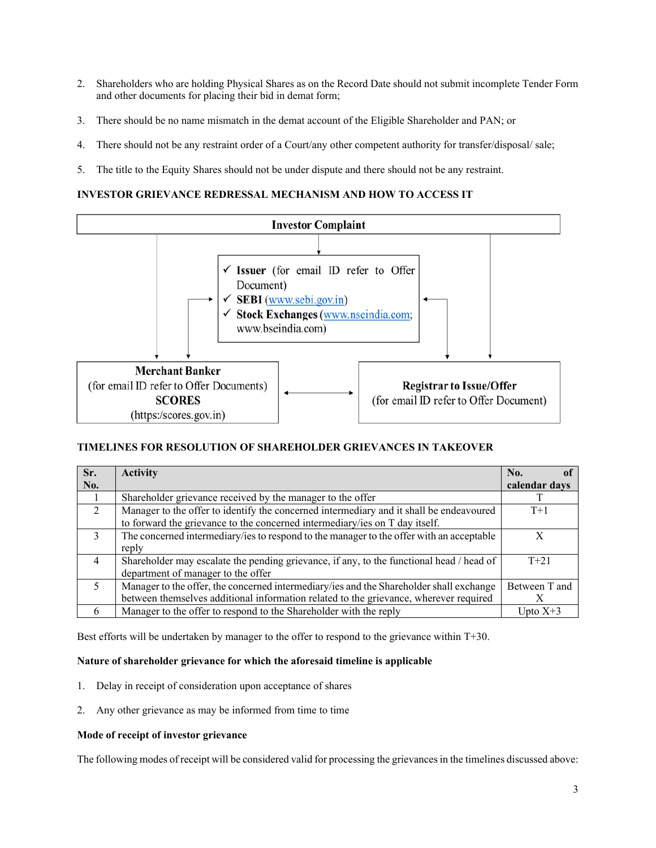- 2. Shareholders who are holding Physical Shares as on the Record Date should not submit incomplete Tender Form and other documents for placing their bid in demat form;
- 3. There should be no name mismatch in the demat account of the Eligible Shareholder and PAN; or
- 4. There should not be any restraint order of a Court/any other competent authority for transfer/disposal/ sale;
- 5. The title to the Equity Shares should not be under dispute and there should not be any restraint.

## **INVESTOR GRIEVANCE REDRESSAL MECHANISM AND HOW TO ACCESS IT**



# **TIMELINES FOR RESOLUTION OF SHAREHOLDER GRIEVANCES IN TAKEOVER**

| Sr.            | <b>Activity</b>                                                                          | No.           |
|----------------|------------------------------------------------------------------------------------------|---------------|
| No.            |                                                                                          | calendar days |
|                | Shareholder grievance received by the manager to the offer                               |               |
| 2              | Manager to the offer to identify the concerned intermediary and it shall be endeavoured  | $T+1$         |
|                | to forward the grievance to the concerned intermediary/ies on T day itself.              |               |
| $\mathcal{E}$  | The concerned intermediary/ies to respond to the manager to the offer with an acceptable | X             |
|                | reply                                                                                    |               |
| $\overline{4}$ | Shareholder may escalate the pending grievance, if any, to the functional head / head of | $T + 21$      |
|                | department of manager to the offer                                                       |               |
| .5             | Manager to the offer, the concerned intermediary/ies and the Shareholder shall exchange  | Between T and |
|                | between themselves additional information related to the grievance, wherever required    |               |
| 6              | Manager to the offer to respond to the Shareholder with the reply                        | Upto $X+3$    |

Best efforts will be undertaken by manager to the offer to respond to the grievance within T+30.

### **Nature of shareholder grievance for which the aforesaid timeline is applicable**

- 1. Delay in receipt of consideration upon acceptance of shares
- 2. Any other grievance as may be informed from time to time

### **Mode of receipt of investor grievance**

The following modes of receipt will be considered valid for processing the grievances in the timelines discussed above: